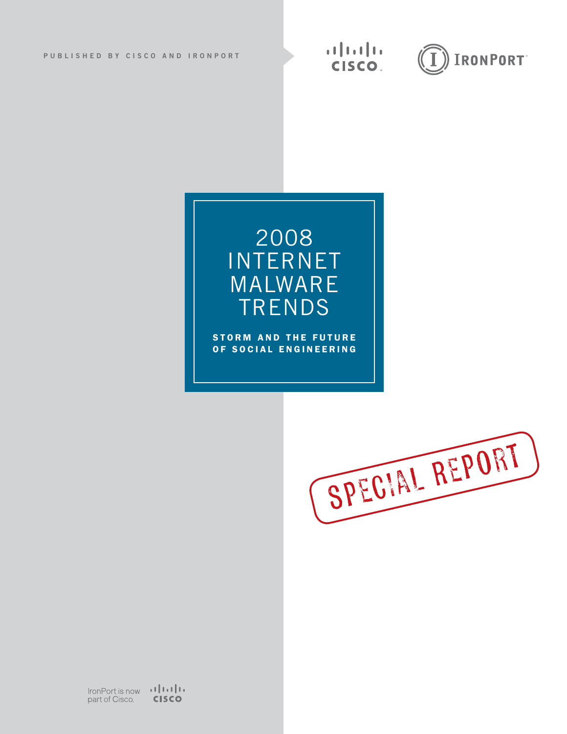



**STORM AND THE FUTURE** of s ocial engineering



 $IronPort$  is now  $\begin{bmatrix} 1 & 1 & 1 \\ 0 & 0 & 0 \\ 0 & 0 & 0 \end{bmatrix}$ **CISCO** part of Cisco.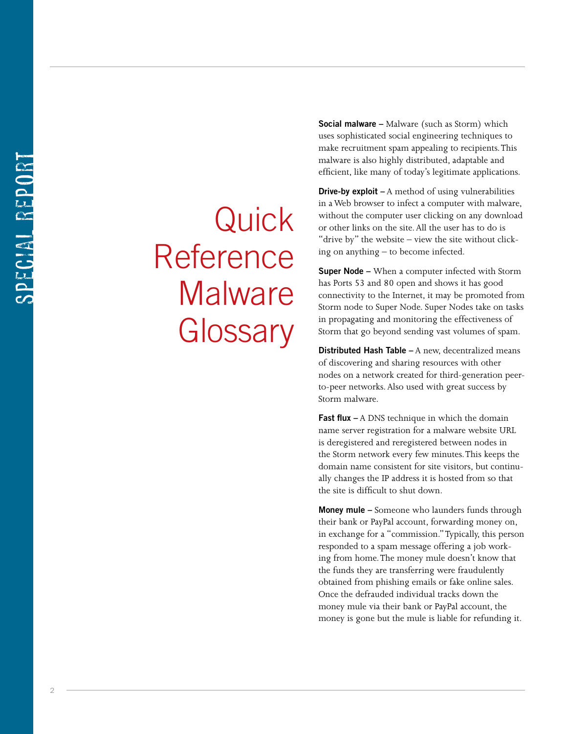Quick Reference **Malware Glossary** 

**Social malware –** Malware (such as Storm) which uses sophisticated social engineering techniques to make recruitment spam appealing to recipients. This malware is also highly distributed, adaptable and efficient, like many of today's legitimate applications.

**Drive-by exploit –** A method of using vulnerabilities in a Web browser to infect a computer with malware, without the computer user clicking on any download or other links on the site. All the user has to do is "drive by" the website – view the site without click ing on anything – to become infected.

**Super Node –** When a computer infected with Storm has Ports 53 and 80 open and shows it has good connectivity to the Internet, it may be promoted from Storm node to Super Node. Super Nodes take on tasks in propagating and monitoring the effectiveness of Storm that go beyond sending vast volumes of spam.

**Distributed Hash Table –** A new, decentralized means of discovering and sharing resources with other nodes on a network created for third-generation peerto-peer networks. Also used with great success by Storm malware.

**Fast flux –** A DNS technique in which the domain name server registration for a malware website URL is deregistered and reregistered between nodes in the Storm network every few minutes. This keeps the domain name consistent for site visitors, but continu ally changes the IP address it is hosted from so that the site is difficult to shut down.

**Money mule –** Someone who launders funds through their bank or PayPal account, forwarding money on, in exchange for a "commission." Typically, this person responded to a spam message offering a job work ing from home. The money mule doesn't know that the funds they are transferring were fraudulently obtained from phishing emails or fake online sales. Once the defrauded individual tracks down the money mule via their bank or PayPal account, the money is gone but the mule is liable for refunding it.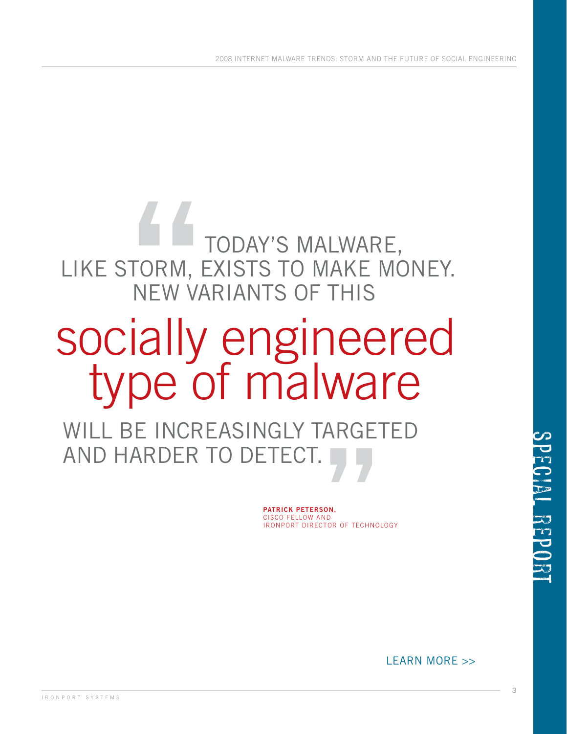#### LEARN MORE >>

I R O N P O R T S Y S T E M S

3

**Patrick Peterson,** Cisco Fellow and IronPort Director of Technology

**"** will be increasingly targeted and harder to detect.

# socially engineered<br>type of malware

TODAY'S MALWARE, LIKE STORM, EXISTS TO MAKE MONEY. New variants of this

2008 INTERNET MALWARE TRENDS: Storm and the Future of Social Engineering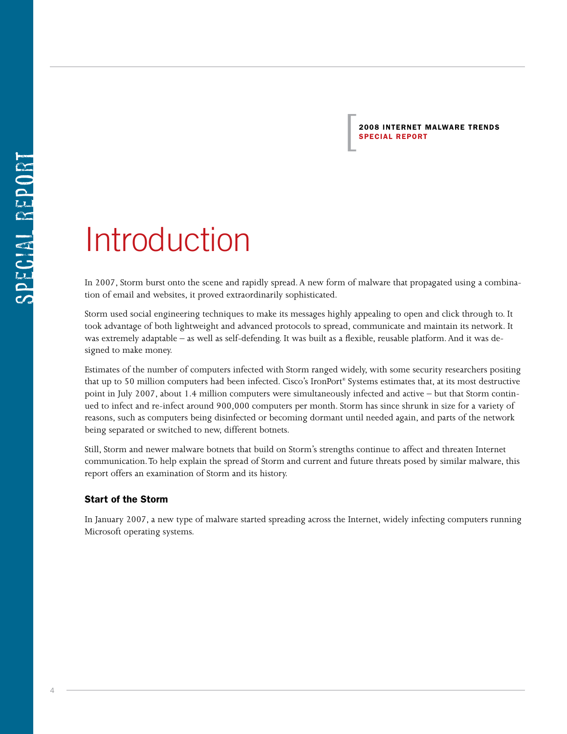2008 Internet malware Trends  $\begin{array}{|c|} \hline \texttt{2008 INTERNET} \\ \hline \texttt{SPECIAL REPORT} \end{array}$ 

## Introduction

In 2007, Storm burst onto the scene and rapidly spread. A new form of malware that propagated using a combination of email and websites, it proved extraordinarily sophisticated.

Storm used social engineering techniques to make its messages highly appealing to open and click through to. It took advantage of both lightweight and advanced protocols to spread, communicate and maintain its network. It was extremely adaptable – as well as self-defending. It was built as a flexible, reusable platform. And it was designed to make money.

Estimates of the number of computers infected with Storm ranged widely, with some security researchers positing that up to 50 million computers had been infected. Cisco's IronPort® Systems estimates that, at its most destructive point in July 2007, about 1.4 million computers were simultaneously infected and active – but that Storm continued to infect and re-infect around 900,000 computers per month. Storm has since shrunk in size for a variety of reasons, such as computers being disinfected or becoming dormant until needed again, and parts of the network being separated or switched to new, different botnets.

Still, Storm and newer malware botnets that build on Storm's strengths continue to affect and threaten Internet communication. To help explain the spread of Storm and current and future threats posed by similar malware, this report offers an examination of Storm and its history.

#### Start of the Storm

In January 2007, a new type of malware started spreading across the Internet, widely infecting computers running Microsoft operating systems.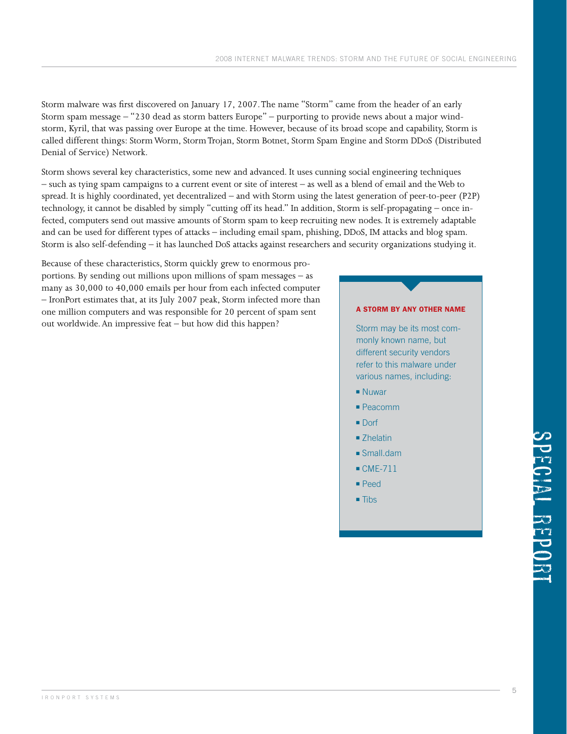Storm malware was first discovered on January 17, 2007. The name "Storm" came from the header of an early Storm spam message – "230 dead as storm batters Europe" – purporting to provide news about a major windstorm, Kyril, that was passing over Europe at the time. However, because of its broad scope and capability, Storm is called different things: Storm Worm, Storm Trojan, Storm Botnet, Storm Spam Engine and Storm DDoS (Distributed Denial of Service) Network.

Storm shows several key characteristics, some new and advanced. It uses cunning social engineering techniques – such as tying spam campaigns to a current event or site of interest – as well as a blend of email and the Web to spread. It is highly coordinated, yet decentralized – and with Storm using the latest generation of peer-to-peer (P2P) technology, it cannot be disabled by simply "cutting off its head." In addition, Storm is self-propagating – once infected, computers send out massive amounts of Storm spam to keep recruiting new nodes. It is extremely adaptable and can be used for different types of attacks – including email spam, phishing, DDoS, IM attacks and blog spam. Storm is also self-defending – it has launched DoS attacks against researchers and security organizations studying it.

Because of these characteristics, Storm quickly grew to enormous proportions. By sending out millions upon millions of spam messages – as many as 30,000 to 40,000 emails per hour from each infected computer – IronPort estimates that, at its July 2007 peak, Storm infected more than one million computers and was responsible for 20 percent of spam sent out worldwide. An impressive feat – but how did this happen?

#### A storm by any other name

Storm may be its most commonly known name, but different security vendors refer to this malware under various names, including:

- **Nuwar**
- $Pearomm$
- Dorf
- Zhelatin
- Small.dam
- $\blacksquare$  CME-711
- <sup>n</sup> Peed
- $\blacksquare$  Tibs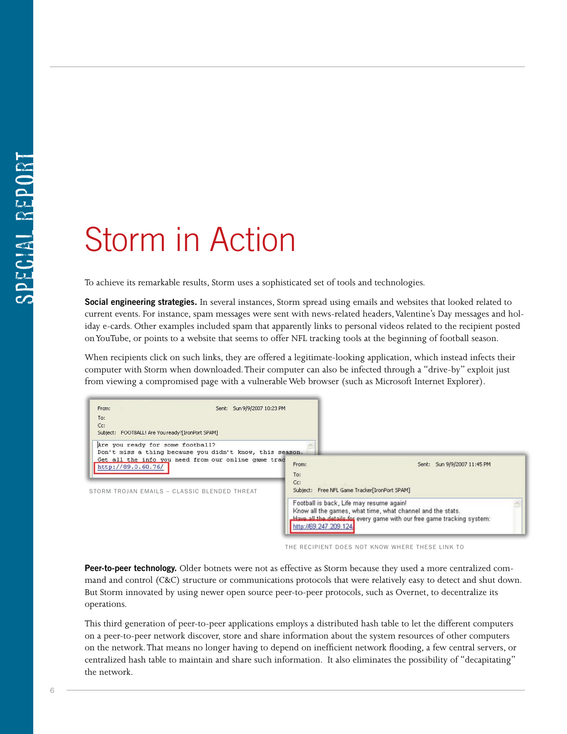## Storm in Action

To achieve its remarkable results, Storm uses a sophisticated set of tools and technologies.

**Social engineering strategies.** In several instances, Storm spread using emails and websites that looked related to current events. For instance, spam messages were sent with news-related headers, Valentine's Day messages and holiday e-cards. Other examples included spam that apparently links to personal videos related to the recipient posted on YouTube, or points to a website that seems to offer NFL tracking tools at the beginning of football season.

When recipients click on such links, they are offered a legitimate-looking application, which instead infects their computer with Storm when downloaded. Their computer can also be infected through a "drive-by" exploit just from viewing a compromised page with a vulnerable Web browser (such as Microsoft Internet Explorer).

| From:<br>Sent: Sun 9/9/2007 10:23 PM<br>To:<br>Cc:                                                                                                                                                                            |                                                                                                                                                                                                            |
|-------------------------------------------------------------------------------------------------------------------------------------------------------------------------------------------------------------------------------|------------------------------------------------------------------------------------------------------------------------------------------------------------------------------------------------------------|
| Subject: FOOTBALL! Are You ready?[IronPort SPAM]<br>Are you ready for some football?<br>Don't miss a thing because you didn't know, this season.<br>Get all the info you need from our online game trac<br>http://89.0.60.76/ | From:<br>Sent: Sun 9/9/2007 11:45 PM<br>To:                                                                                                                                                                |
| STORM TROJAN EMAILS - CLASSIC BLENDED THREAT                                                                                                                                                                                  | Cc:<br>Subject: Free NFL Game Tracker[IronPort SPAM]                                                                                                                                                       |
|                                                                                                                                                                                                                               | Football is back, Life may resume again!<br>Know all the games, what time, what channel and the stats.<br>Have all the details for every game with our free game tracking system:<br>http://69.247.209.124 |

The recipient does not know where these link to

**Peer-to-peer technology.** Older botnets were not as effective as Storm because they used a more centralized command and control (C&C) structure or communications protocols that were relatively easy to detect and shut down. But Storm innovated by using newer open source peer-to-peer protocols, such as Overnet, to decentralize its operations.

This third generation of peer-to-peer applications employs a distributed hash table to let the different computers on a peer-to-peer network discover, store and share information about the system resources of other computers on the network. That means no longer having to depend on inefficient network flooding, a few central servers, or centralized hash table to maintain and share such information. It also eliminates the possibility of "decapitating" the network.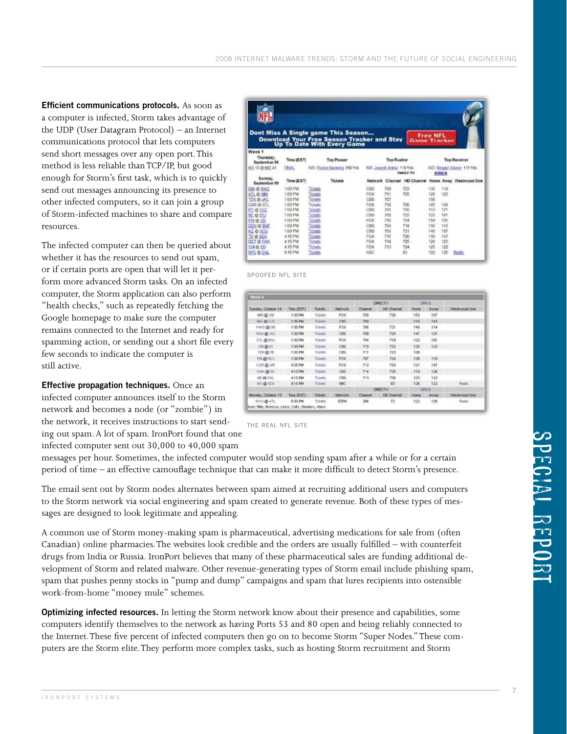**Efficient communications protocols.** As soon as a computer is infected, Storm takes advantage of the UDP (User Datagram Protocol) – an Internet communications protocol that lets computers send short messages over any open port. This method is less reliable than TCP/IP, but good enough for Storm's first task, which is to quickly send out messages announcing its presence to other infected computers, so it can join a group of Storm-infected machines to share and compare resources.

The infected computer can then be queried about whether it has the resources to send out spam, or if certain ports are open that will let it perform more advanced Storm tasks. On an infected computer, the Storm application can also perform "health checks," such as repeatedly fetching the Google homepage to make sure the computer remains connected to the Internet and ready for spamming action, or sending out a short file every few seconds to indicate the computer is still active.

**Effective propagation techniques.** Once an infected computer announces itself to the Storm network and becomes a node (or "zombie") in the network, it receives instructions to start send-

ing out spam. A lot of spam. IronPort found that one infected computer sent out 30,000 to 40,000 spam

messages per hour. Sometimes, the infected computer would stop sending spam after a while or for a certain period of time – an effective camouflage technique that can make it more difficult to detect Storm's presence.

The email sent out by Storm nodes alternates between spam aimed at recruiting additional users and computers to the Storm network via social engineering and spam created to generate revenue. Both of these types of messages are designed to look legitimate and appealing.

A common use of Storm money-making spam is pharmaceutical, advertising medications for sale from (often Canadian) online pharmacies. The websites look credible and the orders are usually fulfilled – with counterfeit drugs from India or Russia. IronPort believes that many of these pharmaceutical sales are funding additional development of Storm and related malware. Other revenue-generating types of Storm email include phishing spam, spam that pushes penny stocks in "pump and dump" campaigns and spam that lures recipients into ostensible work-from-home "money mule" schemes.

**Optimizing infected resources.** In letting the Storm network know about their presence and capabilities, some computers identify themselves to the network as having Ports 53 and 80 open and being reliably connected to the Internet. These five percent of infected computers then go on to become Storm "Super Nodes." These computers are the Storm elite. They perform more complex tasks, such as hosting Storm recruitment and Storm

|                                  |                | Dont Miss A Single game This Season<br><b>Download Your Free Season Tracker and Stay</b> |          |                                 | Game Tracker   | <b>Free NFL</b> |       |                                           |
|----------------------------------|----------------|------------------------------------------------------------------------------------------|----------|---------------------------------|----------------|-----------------|-------|-------------------------------------------|
| Week <sub>1</sub>                |                | <b>Up To Date With Every Game</b>                                                        |          |                                 |                |                 |       |                                           |
| Thursday,<br><b>September 06</b> | Time (EST)     | <b>Too Passer</b>                                                                        |          | <b>Top Rusher</b>               |                |                 |       | <b>Top Receiver</b>                       |
| NO 10 @ NO 41                    | <b>FINAL</b>   | IND Peyton Manning 288 Yds                                                               |          | <b>IND Jaseph Addis 118 Yds</b> | <b>DIRECTV</b> |                 | 知识別名  | IND Regge Wante: 115 Yds.                 |
| Sunday,<br>September 09          | Time (EST)     | Tickets                                                                                  | Nebscork |                                 |                |                 |       | Channel HD Channel Home Away Westwood One |
| MA @ WAS                         | 1:00 PM        | Ticketa                                                                                  | CDS      | 709                             | 723            | 130             | 110   |                                           |
| ATL @ MIN                        | 1:00 PM        | Tickets                                                                                  | FOX      | ŤΗ                              | 725            | 125             | $+22$ |                                           |
| TEN @ JAC                        | 1:00 PM        | Tickets                                                                                  | CDS      | 707                             |                | 158             |       |                                           |
| CAR @ STL                        | 1:00 PM        | Tickiets                                                                                 | FOX      | 712                             | 726            | 147             | 146   |                                           |
| <b>RIGGLE</b>                    | <b>1:00 PM</b> | <b>Tickets</b>                                                                           | CBS      | 705                             | 720            | 153             | 121   |                                           |
| NE @ 552                         | <b>1:00 PM</b> | <b>Tickets</b>                                                                           | CBS      | 208                             | 722            | 122             | titt  |                                           |
| PH @ 00                          | 1:00 PM        | <b>Tickets</b>                                                                           | FOX      | 710                             | 724            | 114             | 120   |                                           |
| DEN @ BUE                        | 1:00 PM        | Tickets                                                                                  | CBS      | 704                             | TIS            | 110             | 143   |                                           |
| <b>KC-0 152U</b>                 | 1:00 PM        | Tickets                                                                                  | CBS      | 700                             | 721            | 140             | 107   |                                           |
| TO @ SEA                         | 4.15 PM        | Tickets                                                                                  | FOX      | 715                             | 726            | 119             | 147   |                                           |
| DET @ OAK                        | 4.15 PM        | <b>Tickets</b>                                                                           | FOX      | 714                             | 725            | 126             | 123   |                                           |
| CH & SD                          | 4.15 PM        | Tickets                                                                                  | IFICOC   | 713                             | 724            | 125             | 122   |                                           |
| NYG O DAL                        | 8:15 PM        | Tickets                                                                                  | NDC      |                                 | 血生             | 122             | 126   | <b>Badio</b>                              |

**Familiar Site?** Spoofed NFL Site

|                                                     |             |          |                 | DIRECTV.       |                    | <b>TANKIS</b>  |             |              |
|-----------------------------------------------------|-------------|----------|-----------------|----------------|--------------------|----------------|-------------|--------------|
| Sunday, October 14                                  | Time (EST). | Tickets  | Network         | Channel        | <b>HD-Chennel</b>  | <b>Promist</b> | Away        | Westwood One |
| MILEOS                                              | 1:00 PM     | Tickets  | <b>FOX</b>      | 715            | 720                | 153            | 107         |              |
| 林天森白毛                                               | 1:00 PM     | Ticketz  | CBS.            | 789            |                    | 110            | $+43$       |              |
| VIAS @ 08                                           | 1:00 PM     | Tickets  | FOX             | 786            | 721                | 140            | 114         |              |
| HOU @ JAC                                           | 1:00 PM     | Tckets   | CBS             | 709            | 725                | 147            | 121         |              |
| <b>STL@EAL</b>                                      | 1:00 PM     | Toketz   | Föx:            | 704            | 719                | 122            | tät         |              |
| CIN Q NO                                            | 1:00 PM     | Tickets  | $cm$            | 7:0            | 722                | 125            | 123         |              |
| <b>TEN OR THE</b>                                   | 1.00 PM     | 「日感」     | CBS             | 71             | 723                | 126            |             |              |
| FH @ M/J                                            | 1:00 PM     | Tickets  | FOX <sup></sup> | 787            | 724                | 130            | 119         |              |
| CAR @ ARI                                           | 4/35 PM     | Texets   | <b>FOX</b>      | 712            | 724                | 121            | 147         |              |
| CAR @ SD                                            | 415 PM      | Ticketz  | CBS             | 714            | 725                | <b>TTB</b>     | 126         |              |
| <b>NE @ DAL</b>                                     | 415 PM      | Tickets  | CBS             | 73             | 726                | 123            | 122         |              |
| <b>ND @ SEA</b>                                     | 815 PM      | Ticketz  | NBC             |                | 85                 | 126            | 122         | Radia        |
|                                                     |             |          |                 | DRECTV.        |                    | SRUS           |             |              |
| Monday, October 15                                  | Time (EST)  | Taskets: | Network         | <b>Channel</b> | <b>HD Chervell</b> | <b>Pone</b>    | <b>Away</b> | Westwood One |
| NYO @ ATL                                           | 8:30 PM     | Tiskets  | ESPN            | 206            | 73                 | 123            | 126         | Fade:        |
| Byes: Bills, Broncos, Lions, Colls, Steelers, 49ers |             |          | 37500           |                |                    |                |             |              |

The Real NFL Site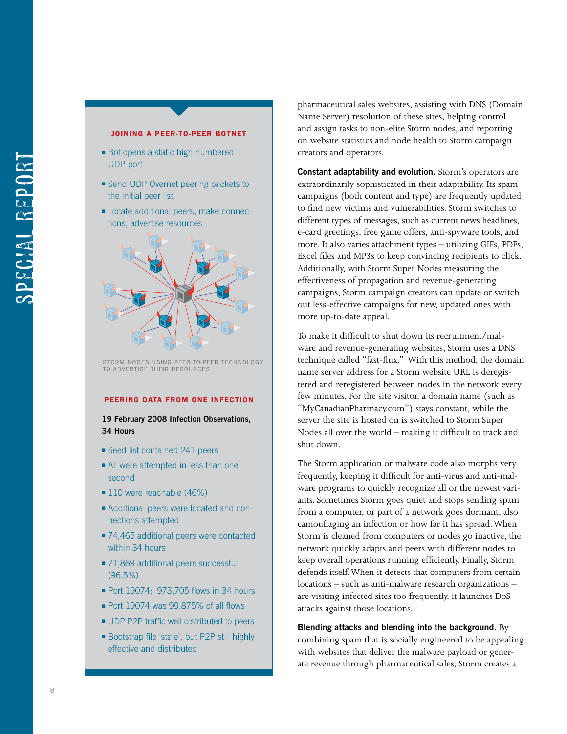

Joining a Peer-to-Peer botnet

of omining bed UDM and their for each resources Storm nodes using peer-to-peer technology

#### Peering data from one infection

#### **19 February 2008 Infection Observations, 34 Hours**

- Seed list contained 241 peers
- All were attempted in less than one second
- 110 were reachable (46%)
- <sup>n</sup> Additional peers were located and connections attempted
- 74,465 additional peers were contacted within 34 hours
- 71,869 additional peers successful (96.5%)
- <sup>n</sup> Port 19074: 973,705 flows in 34 hours
- Port 19074 was 99.875% of all flows
- **UDP P2P traffic well distributed to peers**
- <sup>n</sup> Bootstrap file 'stale', but P2P still highly effective and distributed

pharmaceutical sales websites, assisting with DNS (Domain Name Server) resolution of these sites, helping control and assign tasks to non-elite Storm nodes, and reporting on website statistics and node health to Storm campaign creators and operators.

**Constant adaptability and evolution.** Storm's operators are extraordinarily sophisticated in their adaptability. Its spam campaigns (both content and type) are frequently updated to find new victims and vulnerabilities. Storm switches to different types of messages, such as current news headlines, e-card greetings, free game offers, anti-spyware tools, and more. It also varies attachment types – utilizing GIFs, PDFs, Excel files and MP3s to keep convincing recipients to click. Additionally, with Storm Super Nodes measuring the effectiveness of propagation and revenue-generating campaigns, Storm campaign creators can update or switch out less-effective campaigns for new, updated ones with more up-to-date appeal.

To make it difficult to shut down its recruitment/malware and revenue-generating websites, Storm uses a DNS technique called "fast-flux." With this method, the domain name server address for a Storm website URL is deregistered and reregistered between nodes in the network every few minutes. For the site visitor, a domain name (such as "MyCanadianPharmacy.com") stays constant, while the server the site is hosted on is switched to Storm Super Nodes all over the world – making it difficult to track and shut down.

The Storm application or malware code also morphs very frequently, keeping it difficult for anti-virus and anti-malware programs to quickly recognize all or the newest variants. Sometimes Storm goes quiet and stops sending spam from a computer, or part of a network goes dormant, also camouflaging an infection or how far it has spread. When Storm is cleaned from computers or nodes go inactive, the network quickly adapts and peers with different nodes to keep overall operations running efficiently. Finally, Storm defends itself. When it detects that computers from certain locations – such as anti-malware research organizations – are visiting infected sites too frequently, it launches DoS attacks against those locations.

**Blending attacks and blending into the background.** By combining spam that is socially engineered to be appealing with websites that deliver the malware payload or generate revenue through pharmaceutical sales, Storm creates a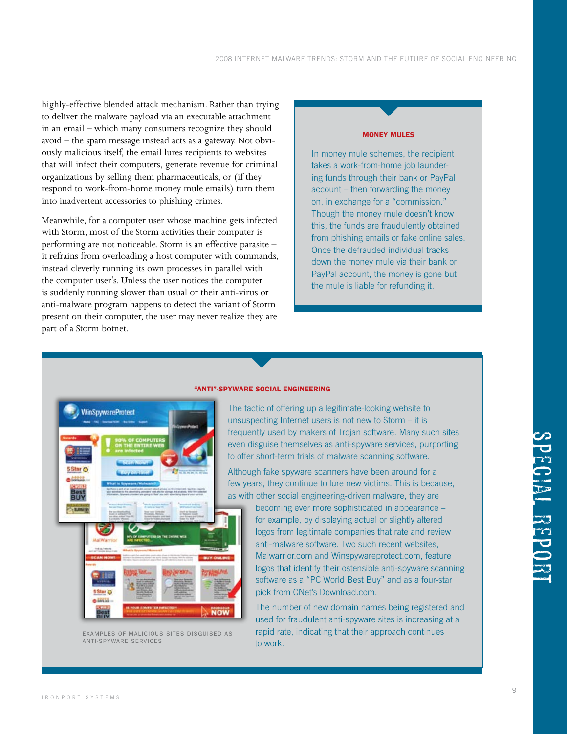highly-effective blended attack mechanism. Rather than trying to deliver the malware payload via an executable attachment in an email – which many consumers recognize they should avoid – the spam message instead acts as a gateway. Not obviously malicious itself, the email lures recipients to websites that will infect their computers, generate revenue for criminal organizations by selling them pharmaceuticals, or (if they respond to work-from-home money mule emails) turn them into inadvertent accessories to phishing crimes.

Meanwhile, for a computer user whose machine gets infected with Storm, most of the Storm activities their computer is performing are not noticeable. Storm is an effective parasite – it refrains from overloading a host computer with commands, instead cleverly running its own processes in parallel with the computer user's. Unless the user notices the computer is suddenly running slower than usual or their anti-virus or anti-malware program happens to detect the variant of Storm present on their computer, the user may never realize they are part of a Storm botnet.

#### Money Mules

In money mule schemes, the recipient takes a work-from-home job laundering funds through their bank or PayPal account – then forwarding the money on, in exchange for a "commission." Though the money mule doesn't know this, the funds are fraudulently obtained from phishing emails or fake online sales. Once the defrauded individual tracks down the money mule via their bank or PayPal account, the money is gone but the mule is liable for refunding it.



to work. anti-spyware servicesExamples of malicious sites disguised as

#### "Anti"-Spyware Social Engineering

The tactic of offering up a legitimate-looking website to unsuspecting Internet users is not new to Storm – it is frequently used by makers of Trojan software. Many such sites even disguise themselves as anti-spyware services, purporting to offer short-term trials of malware scanning software.

Although fake spyware scanners have been around for a few years, they continue to lure new victims. This is because, as with other social engineering-driven malware, they are

> becoming ever more sophisticated in appearance – for example, by displaying actual or slightly altered logos from legitimate companies that rate and review anti-malware software. Two such recent websites, Malwarrior.com and Winspywareprotect.com, feature logos that identify their ostensible anti-spyware scanning software as a "PC World Best Buy" and as a four-star pick from CNet's Download.com.

> The number of new domain names being registered and used for fraudulent anti-spyware sites is increasing at a rapid rate, indicating that their approach continues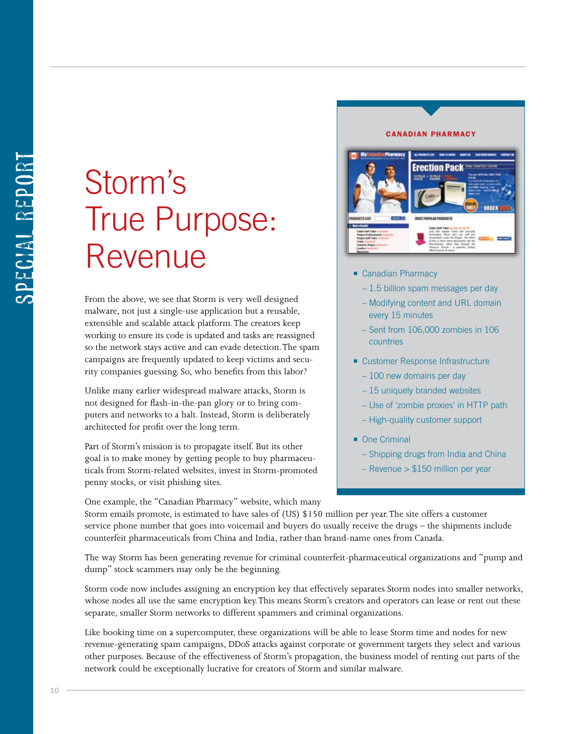## Storm's True Purpose: Revenue

From the above, we see that Storm is very well designed malware, not just a single-use application but a reusable, extensible and scalable attack platform. The creators keep working to ensure its code is updated and tasks are reassigned so the network stays active and can evade detection. The spam campaigns are frequently updated to keep victims and security companies guessing. So, who benefits from this labor?

Unlike many earlier widespread malware attacks, Storm is not designed for flash-in-the-pan glory or to bring computers and networks to a halt. Instead, Storm is deliberately architected for profit over the long term.

Part of Storm's mission is to propagate itself. But its other goal is to make money by getting people to buy pharmaceuticals from Storm-related websites, invest in Storm-promoted penny stocks, or visit phishing sites.

One example, the "Canadian Pharmacy" website, which many

#### Canadian Pharmacy



- Canadian Pharmacy
	- 1.5 billion spam messages per day
	- Modifying content and URL domain every 15 minutes
	- Sent from 106,000 zombies in 106 countries
- Customer Response Infrastructure
	- 100 new domains per day
	- 15 uniquely branded websites
	- Use of 'zombie proxies' in HTTP path
	- High-quality customer support
- $\blacksquare$  One Criminal
	- Shipping drugs from India and China
	- Revenue > \$150 million per year

Storm emails promote, is estimated to have sales of (US) \$150 million per year. The site offers a customer service phone number that goes into voicemail and buyers do usually receive the drugs – the shipments include counterfeit pharmaceuticals from China and India, rather than brand-name ones from Canada.

The way Storm has been generating revenue for criminal counterfeit-pharmaceutical organizations and "pump and dump" stock scammers may only be the beginning.

Storm code now includes assigning an encryption key that effectively separates Storm nodes into smaller networks, whose nodes all use the same encryption key. This means Storm's creators and operators can lease or rent out these separate, smaller Storm networks to different spammers and criminal organizations.

Like booking time on a supercomputer, these organizations will be able to lease Storm time and nodes for new revenue-generating spam campaigns, DDoS attacks against corporate or government targets they select and various other purposes. Because of the effectiveness of Storm's propagation, the business model of renting out parts of the network could be exceptionally lucrative for creators of Storm and similar malware.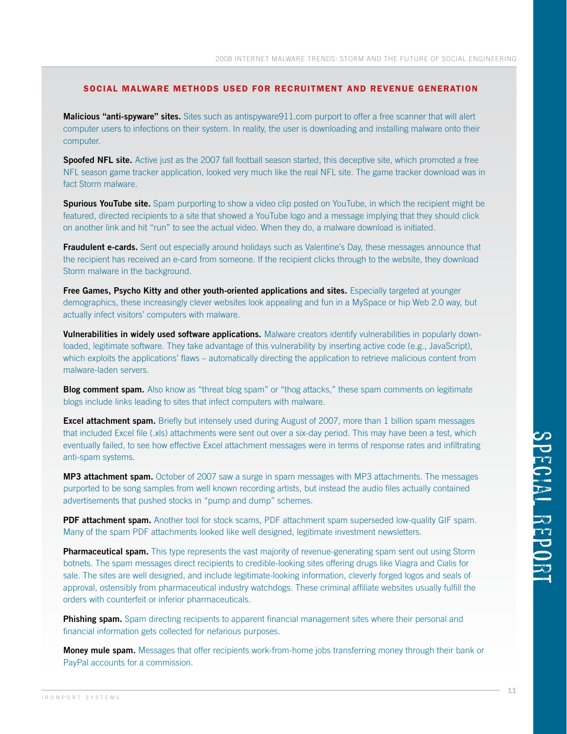#### Social Malware Methods Used for Recruitment and Revenue Generation

**Malicious "anti-spyware" sites.** Sites such as antispyware911.com purport to offer a free scanner that will alert computer users to infections on their system. In reality, the user is downloading and installing malware onto their computer.

**Spoofed NFL site.** Active just as the 2007 fall football season started, this deceptive site, which promoted a free NFL season game tracker application, looked very much like the real NFL site. The game tracker download was in fact Storm malware.

**Spurious YouTube site.** Spam purporting to show a video clip posted on YouTube, in which the recipient might be featured, directed recipients to a site that showed a YouTube logo and a message implying that they should click on another link and hit "run" to see the actual video. When they do, a malware download is initiated.

**Fraudulent e-cards.** Sent out especially around holidays such as Valentine's Day, these messages announce that the recipient has received an e-card from someone. If the recipient clicks through to the website, they download Storm malware in the background.

**Free Games, Psycho Kitty and other youth-oriented applications and sites.** Especially targeted at younger demographics, these increasingly clever websites look appealing and fun in a MySpace or hip Web 2.0 way, but actually infect visitors' computers with malware.

**Vulnerabilities in widely used software applications.** Malware creators identify vulnerabilities in popularly downloaded, legitimate software. They take advantage of this vulnerability by inserting active code (e.g., JavaScript), which exploits the applications' flaws – automatically directing the application to retrieve malicious content from malware-laden servers.

**Blog comment spam.** Also know as "threat blog spam" or "thog attacks," these spam comments on legitimate blogs include links leading to sites that infect computers with malware.

**Excel attachment spam.** Briefly but intensely used during August of 2007, more than 1 billion spam messages that included Excel file (.xls) attachments were sent out over a six-day period. This may have been a test, which eventually failed, to see how effective Excel attachment messages were in terms of response rates and infiltrating anti-spam systems.

**MP3 attachment spam.** October of 2007 saw a surge in spam messages with MP3 attachments. The messages purported to be song samples from well known recording artists, but instead the audio files actually contained advertisements that pushed stocks in "pump and dump" schemes.

**PDF attachment spam.** Another tool for stock scams, PDF attachment spam superseded low-quality GIF spam. Many of the spam PDF attachments looked like well designed, legitimate investment newsletters.

**Pharmaceutical spam.** This type represents the vast majority of revenue-generating spam sent out using Storm botnets. The spam messages direct recipients to credible-looking sites offering drugs like Viagra and Cialis for sale. The sites are well designed, and include legitimate-looking information, cleverly forged logos and seals of approval, ostensibly from pharmaceutical industry watchdogs. These criminal affiliate websites usually fulfill the orders with counterfeit or inferior pharmaceuticals.

**Phishing spam.** Spam directing recipients to apparent financial management sites where their personal and financial information gets collected for nefarious purposes.

**Money mule spam.** Messages that offer recipients work-from-home jobs transferring money through their bank or PayPal accounts for a commission.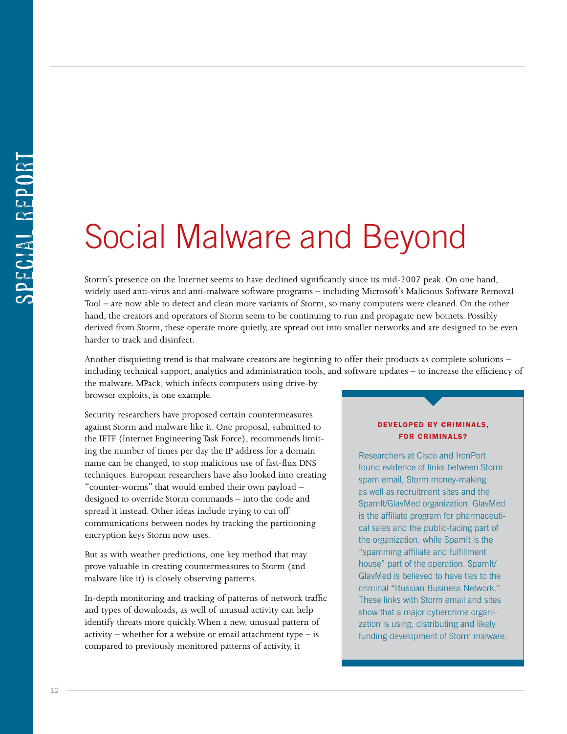## Social Malware and Beyond

Storm's presence on the Internet seems to have declined significantly since its mid-2007 peak. On one hand, widely used anti-virus and anti-malware software programs – including Microsoft's Malicious Software Removal Tool – are now able to detect and clean more variants of Storm, so many computers were cleaned. On the other hand, the creators and operators of Storm seem to be continuing to run and propagate new botnets. Possibly derived from Storm, these operate more quietly, are spread out into smaller networks and are designed to be even harder to track and disinfect.

Another disquieting trend is that malware creators are beginning to offer their products as complete solutions – including technical support, analytics and administration tools, and software updates – to increase the efficiency of

the malware. MPack, which infects computers using drive-by browser exploits, is one example.

Security researchers have proposed certain countermeasures against Storm and malware like it. One proposal, submitted to the IETF (Internet Engineering Task Force), recommends limiting the number of times per day the IP address for a domain name can be changed, to stop malicious use of fast-flux DNS techniques. European researchers have also looked into creating "counter-worms" that would embed their own payload – designed to override Storm commands – into the code and spread it instead. Other ideas include trying to cut off communications between nodes by tracking the partitioning encryption keys Storm now uses.

But as with weather predictions, one key method that may prove valuable in creating countermeasures to Storm (and malware like it) is closely observing patterns.

In-depth monitoring and tracking of patterns of network traffic and types of downloads, as well of unusual activity can help identify threats more quickly. When a new, unusual pattern of  $activity$  – whether for a website or email attachment type – is compared to previously monitored patterns of activity, it

#### Developed by Criminals, for Criminals?

Researchers at Cisco and IronPort found evidence of links between Storm spam email, Storm money-making as well as recruitment sites and the SpamIt/GlavMed organization. GlavMed is the affiliate program for pharmaceutical sales and the public-facing part of the organization, while SpamIt is the "spamming affiliate and fulfillment house" part of the operation. SpamIt/ GlavMed is believed to have ties to the criminal "Russian Business Network." These links with Storm email and sites show that a major cybercrime organization is using, distributing and likely funding development of Storm malware.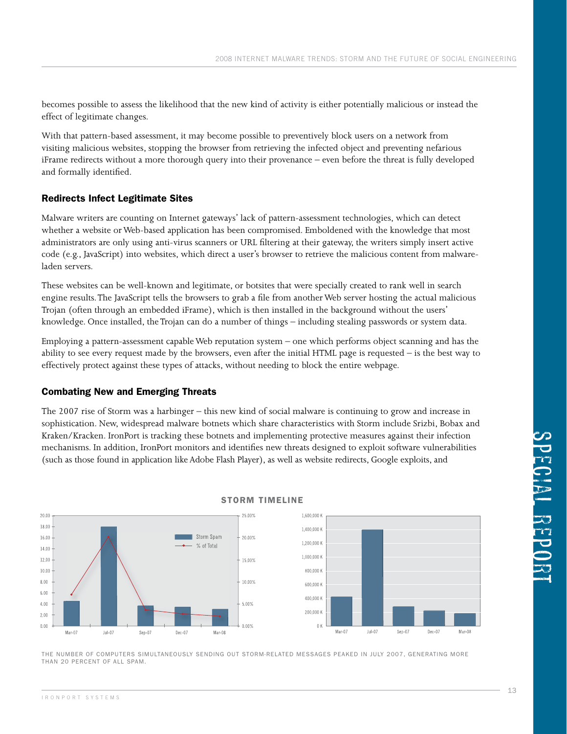becomes possible to assess the likelihood that the new kind of activity is either potentially malicious or instead the effect of legitimate changes.

With that pattern-based assessment, it may become possible to preventively block users on a network from visiting malicious websites, stopping the browser from retrieving the infected object and preventing nefarious iFrame redirects without a more thorough query into their provenance – even before the threat is fully developed and formally identified.

#### Redirects Infect Legitimate Sites

Malware writers are counting on Internet gateways' lack of pattern-assessment technologies, which can detect whether a website or Web-based application has been compromised. Emboldened with the knowledge that most administrators are only using anti-virus scanners or URL filtering at their gateway, the writers simply insert active code (e.g., JavaScript) into websites, which direct a user's browser to retrieve the malicious content from malwareladen servers.

These websites can be well-known and legitimate, or botsites that were specially created to rank well in search engine results. The JavaScript tells the browsers to grab a file from another Web server hosting the actual malicious Trojan (often through an embedded iFrame), which is then installed in the background without the users' knowledge. Once installed, the Trojan can do a number of things – including stealing passwords or system data.

Employing a pattern-assessment capable Web reputation system – one which performs object scanning and has the ability to see every request made by the browsers, even after the initial HTML page is requested  $-$  is the best way to effectively protect against these types of attacks, without needing to block the entire webpage.

#### Combating New and Emerging Threats

The 2007 rise of Storm was a harbinger – this new kind of social malware is continuing to grow and increase in sophistication. New, widespread malware botnets which share characteristics with Storm include Srizbi, Bobax and Kraken/Kracken. IronPort is tracking these botnets and implementing protective measures against their infection mechanisms. In addition, IronPort monitors and identifies new threats designed to exploit software vulnerabilities (such as those found in application like Adobe Flash Player), as well as website redirects, Google exploits, and



#### Storm Timeline

The number of computers simultaneously sending out Storm-related messages peaked in July 2007, generating more than 20 percent of all spam.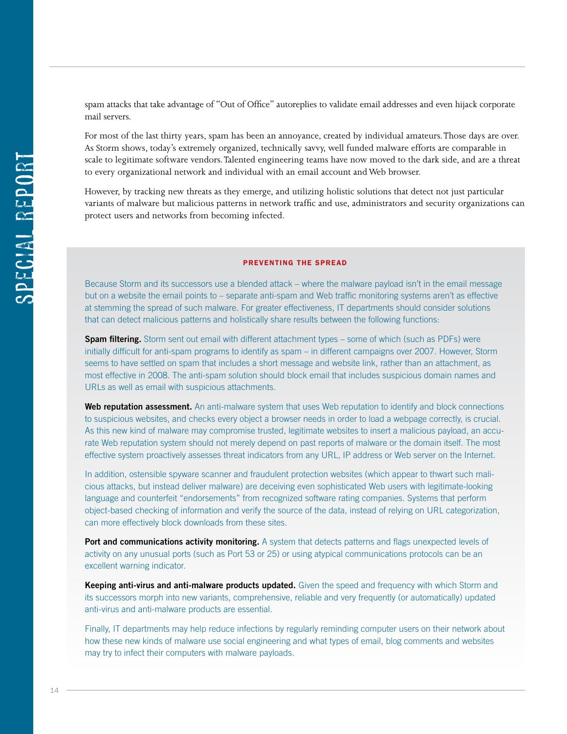spam attacks that take advantage of "Out of Office" autoreplies to validate email addresses and even hijack corporate mail servers.

For most of the last thirty years, spam has been an annoyance, created by individual amateurs. Those days are over. As Storm shows, today's extremely organized, technically savvy, well funded malware efforts are comparable in scale to legitimate software vendors. Talented engineering teams have now moved to the dark side, and are a threat to every organizational network and individual with an email account and Web browser.

However, by tracking new threats as they emerge, and utilizing holistic solutions that detect not just particular variants of malware but malicious patterns in network traffic and use, administrators and security organizations can protect users and networks from becoming infected.

#### Preventing the Spread

Because Storm and its successors use a blended attack – where the malware payload isn't in the email message but on a website the email points to – separate anti-spam and Web traffic monitoring systems aren't as effective at stemming the spread of such malware. For greater effectiveness, IT departments should consider solutions that can detect malicious patterns and holistically share results between the following functions:

**Spam filtering.** Storm sent out email with different attachment types – some of which (such as PDFs) were initially difficult for anti-spam programs to identify as spam – in different campaigns over 2007. However, Storm seems to have settled on spam that includes a short message and website link, rather than an attachment, as most effective in 2008. The anti-spam solution should block email that includes suspicious domain names and URLs as well as email with suspicious attachments.

Web reputation assessment. An anti-malware system that uses Web reputation to identify and block connections to suspicious websites, and checks every object a browser needs in order to load a webpage correctly, is crucial. As this new kind of malware may compromise trusted, legitimate websites to insert a malicious payload, an accurate Web reputation system should not merely depend on past reports of malware or the domain itself. The most effective system proactively assesses threat indicators from any URL, IP address or Web server on the Internet.

In addition, ostensible spyware scanner and fraudulent protection websites (which appear to thwart such malicious attacks, but instead deliver malware) are deceiving even sophisticated Web users with legitimate-looking language and counterfeit "endorsements" from recognized software rating companies. Systems that perform object-based checking of information and verify the source of the data, instead of relying on URL categorization, can more effectively block downloads from these sites.

**Port and communications activity monitoring.** A system that detects patterns and flags unexpected levels of activity on any unusual ports (such as Port 53 or 25) or using atypical communications protocols can be an excellent warning indicator.

**Keeping anti-virus and anti-malware products updated.** Given the speed and frequency with which Storm and its successors morph into new variants, comprehensive, reliable and very frequently (or automatically) updated anti-virus and anti-malware products are essential.

Finally, IT departments may help reduce infections by regularly reminding computer users on their network about how these new kinds of malware use social engineering and what types of email, blog comments and websites may try to infect their computers with malware payloads.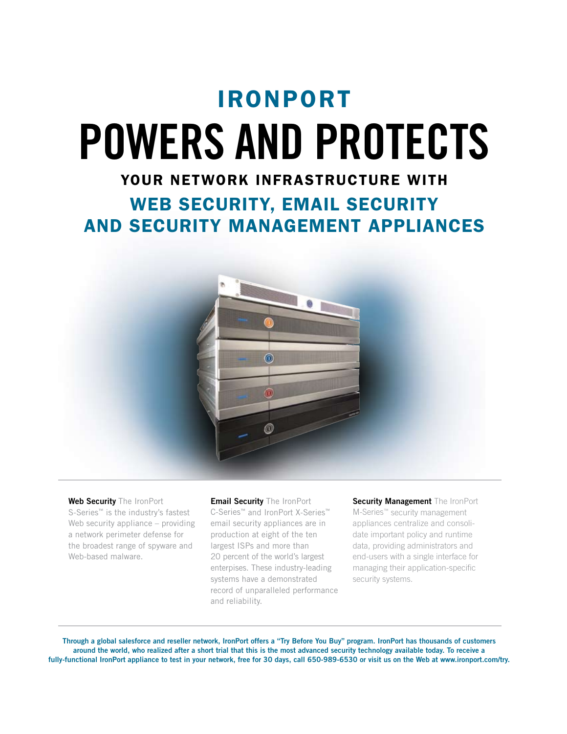## IRonPort **Powers and Protects**

### your network infrastructure with

WEB SECURITY, EMAIL SECURITY and Security Management appliances



**Web Security** The IronPort S-Series™ is the industry's fastest Web security appliance – providing a network perimeter defense for the broadest range of spyware and Web-based malware.

**Email Security** The IronPort C-Series™ and IronPort X-Series™ email security appliances are in production at eight of the ten largest ISPs and more than 20 percent of the world's largest enterpises. These industry-leading systems have a demonstrated record of unparalleled performance and reliability.

**Security Management** The IronPort M-Series™ security management appliances centralize and consolidate important policy and runtime data, providing administrators and end-users with a single interface for managing their application-specific security systems.

**Through a global salesforce and reseller network, IronPort offers a "Try Before You Buy" program. IronPort has thousands of customers around the world, who realized after a short trial that this is the most advanced security technology available today. To receive a fully-functional IronPort appliance to test in your network, free for 30 days, call 650-989-6530 or visit us on the Web at www.ironport.com/try.**